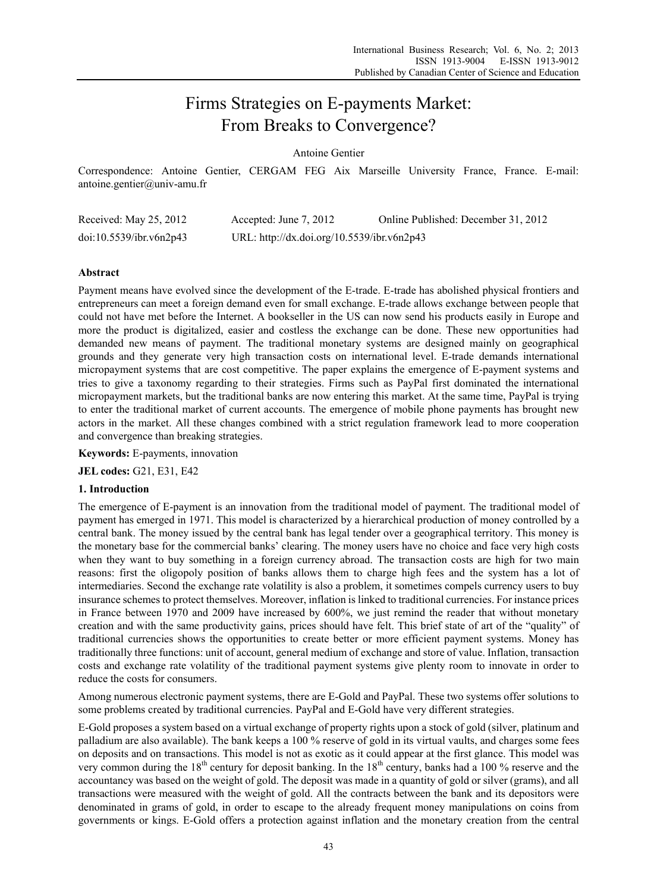# Firms Strategies on E-payments Market: From Breaks to Convergence?

Antoine Gentier

Correspondence: Antoine Gentier, CERGAM FEG Aix Marseille University France, France. E-mail: antoine.gentier@univ-amu.fr

| Received: May 25, 2012  | Accepted: June $7, 2012$                   | Online Published: December 31, 2012 |
|-------------------------|--------------------------------------------|-------------------------------------|
| doi:10.5539/ibr.v6n2p43 | URL: http://dx.doi.org/10.5539/ibr.v6n2p43 |                                     |

# **Abstract**

Payment means have evolved since the development of the E-trade. E-trade has abolished physical frontiers and entrepreneurs can meet a foreign demand even for small exchange. E-trade allows exchange between people that could not have met before the Internet. A bookseller in the US can now send his products easily in Europe and more the product is digitalized, easier and costless the exchange can be done. These new opportunities had demanded new means of payment. The traditional monetary systems are designed mainly on geographical grounds and they generate very high transaction costs on international level. E-trade demands international micropayment systems that are cost competitive. The paper explains the emergence of E-payment systems and tries to give a taxonomy regarding to their strategies. Firms such as PayPal first dominated the international micropayment markets, but the traditional banks are now entering this market. At the same time, PayPal is trying to enter the traditional market of current accounts. The emergence of mobile phone payments has brought new actors in the market. All these changes combined with a strict regulation framework lead to more cooperation and convergence than breaking strategies.

**Keywords:** E-payments, innovation

**JEL codes:** G21, E31, E42

# **1. Introduction**

The emergence of E-payment is an innovation from the traditional model of payment. The traditional model of payment has emerged in 1971. This model is characterized by a hierarchical production of money controlled by a central bank. The money issued by the central bank has legal tender over a geographical territory. This money is the monetary base for the commercial banks' clearing. The money users have no choice and face very high costs when they want to buy something in a foreign currency abroad. The transaction costs are high for two main reasons: first the oligopoly position of banks allows them to charge high fees and the system has a lot of intermediaries. Second the exchange rate volatility is also a problem, it sometimes compels currency users to buy insurance schemes to protect themselves. Moreover, inflation is linked to traditional currencies. For instance prices in France between 1970 and 2009 have increased by 600%, we just remind the reader that without monetary creation and with the same productivity gains, prices should have felt. This brief state of art of the "quality" of traditional currencies shows the opportunities to create better or more efficient payment systems. Money has traditionally three functions: unit of account, general medium of exchange and store of value. Inflation, transaction costs and exchange rate volatility of the traditional payment systems give plenty room to innovate in order to reduce the costs for consumers.

Among numerous electronic payment systems, there are E-Gold and PayPal. These two systems offer solutions to some problems created by traditional currencies. PayPal and E-Gold have very different strategies.

E-Gold proposes a system based on a virtual exchange of property rights upon a stock of gold (silver, platinum and palladium are also available). The bank keeps a 100 % reserve of gold in its virtual vaults, and charges some fees on deposits and on transactions. This model is not as exotic as it could appear at the first glance. This model was very common during the 18<sup>th</sup> century for deposit banking. In the 18<sup>th</sup> century, banks had a 100 % reserve and the accountancy was based on the weight of gold. The deposit was made in a quantity of gold or silver (grams), and all transactions were measured with the weight of gold. All the contracts between the bank and its depositors were denominated in grams of gold, in order to escape to the already frequent money manipulations on coins from governments or kings. E-Gold offers a protection against inflation and the monetary creation from the central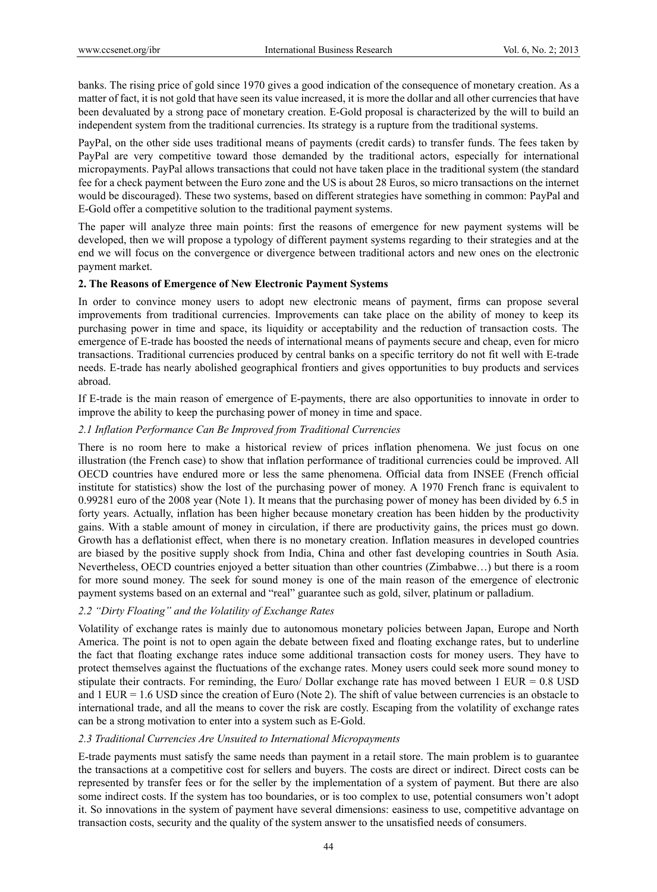banks. The rising price of gold since 1970 gives a good indication of the consequence of monetary creation. As a matter of fact, it is not gold that have seen its value increased, it is more the dollar and all other currencies that have been devaluated by a strong pace of monetary creation. E-Gold proposal is characterized by the will to build an independent system from the traditional currencies. Its strategy is a rupture from the traditional systems.

PayPal, on the other side uses traditional means of payments (credit cards) to transfer funds. The fees taken by PayPal are very competitive toward those demanded by the traditional actors, especially for international micropayments. PayPal allows transactions that could not have taken place in the traditional system (the standard fee for a check payment between the Euro zone and the US is about 28 Euros, so micro transactions on the internet would be discouraged). These two systems, based on different strategies have something in common: PayPal and E-Gold offer a competitive solution to the traditional payment systems.

The paper will analyze three main points: first the reasons of emergence for new payment systems will be developed, then we will propose a typology of different payment systems regarding to their strategies and at the end we will focus on the convergence or divergence between traditional actors and new ones on the electronic payment market.

## **2. The Reasons of Emergence of New Electronic Payment Systems**

In order to convince money users to adopt new electronic means of payment, firms can propose several improvements from traditional currencies. Improvements can take place on the ability of money to keep its purchasing power in time and space, its liquidity or acceptability and the reduction of transaction costs. The emergence of E-trade has boosted the needs of international means of payments secure and cheap, even for micro transactions. Traditional currencies produced by central banks on a specific territory do not fit well with E-trade needs. E-trade has nearly abolished geographical frontiers and gives opportunities to buy products and services abroad.

If E-trade is the main reason of emergence of E-payments, there are also opportunities to innovate in order to improve the ability to keep the purchasing power of money in time and space.

## *2.1 Inflation Performance Can Be Improved from Traditional Currencies*

There is no room here to make a historical review of prices inflation phenomena. We just focus on one illustration (the French case) to show that inflation performance of traditional currencies could be improved. All OECD countries have endured more or less the same phenomena. Official data from INSEE (French official institute for statistics) show the lost of the purchasing power of money. A 1970 French franc is equivalent to 0.99281 euro of the 2008 year (Note 1). It means that the purchasing power of money has been divided by 6.5 in forty years. Actually, inflation has been higher because monetary creation has been hidden by the productivity gains. With a stable amount of money in circulation, if there are productivity gains, the prices must go down. Growth has a deflationist effect, when there is no monetary creation. Inflation measures in developed countries are biased by the positive supply shock from India, China and other fast developing countries in South Asia. Nevertheless, OECD countries enjoyed a better situation than other countries (Zimbabwe…) but there is a room for more sound money. The seek for sound money is one of the main reason of the emergence of electronic payment systems based on an external and "real" guarantee such as gold, silver, platinum or palladium.

# *2.2 "Dirty Floating" and the Volatility of Exchange Rates*

Volatility of exchange rates is mainly due to autonomous monetary policies between Japan, Europe and North America. The point is not to open again the debate between fixed and floating exchange rates, but to underline the fact that floating exchange rates induce some additional transaction costs for money users. They have to protect themselves against the fluctuations of the exchange rates. Money users could seek more sound money to stipulate their contracts. For reminding, the Euro/ Dollar exchange rate has moved between 1 EUR = 0.8 USD and  $1$  EUR = 1.6 USD since the creation of Euro (Note 2). The shift of value between currencies is an obstacle to international trade, and all the means to cover the risk are costly. Escaping from the volatility of exchange rates can be a strong motivation to enter into a system such as E-Gold.

## *2.3 Traditional Currencies Are Unsuited to International Micropayments*

E-trade payments must satisfy the same needs than payment in a retail store. The main problem is to guarantee the transactions at a competitive cost for sellers and buyers. The costs are direct or indirect. Direct costs can be represented by transfer fees or for the seller by the implementation of a system of payment. But there are also some indirect costs. If the system has too boundaries, or is too complex to use, potential consumers won't adopt it. So innovations in the system of payment have several dimensions: easiness to use, competitive advantage on transaction costs, security and the quality of the system answer to the unsatisfied needs of consumers.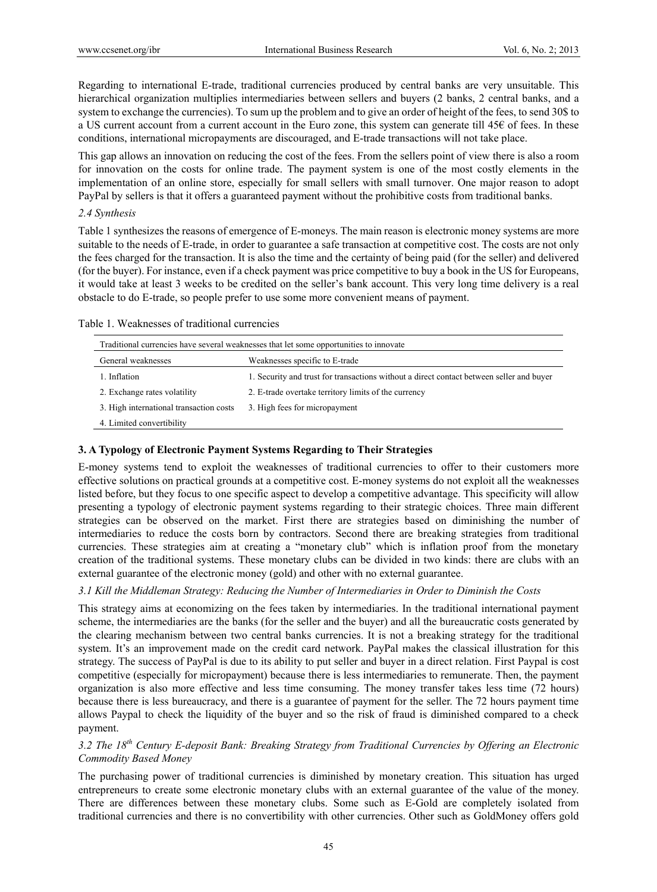Regarding to international E-trade, traditional currencies produced by central banks are very unsuitable. This hierarchical organization multiplies intermediaries between sellers and buyers (2 banks, 2 central banks, and a system to exchange the currencies). To sum up the problem and to give an order of height of the fees, to send 30\$ to a US current account from a current account in the Euro zone, this system can generate till 45€ of fees. In these conditions, international micropayments are discouraged, and E-trade transactions will not take place.

This gap allows an innovation on reducing the cost of the fees. From the sellers point of view there is also a room for innovation on the costs for online trade. The payment system is one of the most costly elements in the implementation of an online store, especially for small sellers with small turnover. One major reason to adopt PayPal by sellers is that it offers a guaranteed payment without the prohibitive costs from traditional banks.

## *2.4 Synthesis*

Table 1 synthesizes the reasons of emergence of E-moneys. The main reason is electronic money systems are more suitable to the needs of E-trade, in order to guarantee a safe transaction at competitive cost. The costs are not only the fees charged for the transaction. It is also the time and the certainty of being paid (for the seller) and delivered (for the buyer). For instance, even if a check payment was price competitive to buy a book in the US for Europeans, it would take at least 3 weeks to be credited on the seller's bank account. This very long time delivery is a real obstacle to do E-trade, so people prefer to use some more convenient means of payment.

| Table 1. Weaknesses of traditional currencies |  |
|-----------------------------------------------|--|
|-----------------------------------------------|--|

| Traditional currencies have several weaknesses that let some opportunities to innovate |                                                                                          |  |  |  |
|----------------------------------------------------------------------------------------|------------------------------------------------------------------------------------------|--|--|--|
| General weaknesses                                                                     | Weaknesses specific to E-trade                                                           |  |  |  |
| 1. Inflation                                                                           | 1. Security and trust for transactions without a direct contact between seller and buyer |  |  |  |
| 2. Exchange rates volatility                                                           | 2. E-trade overtake territory limits of the currency                                     |  |  |  |
| 3. High international transaction costs                                                | 3. High fees for micropayment                                                            |  |  |  |
| 4. Limited convertibility                                                              |                                                                                          |  |  |  |

## **3. A Typology of Electronic Payment Systems Regarding to Their Strategies**

E-money systems tend to exploit the weaknesses of traditional currencies to offer to their customers more effective solutions on practical grounds at a competitive cost. E-money systems do not exploit all the weaknesses listed before, but they focus to one specific aspect to develop a competitive advantage. This specificity will allow presenting a typology of electronic payment systems regarding to their strategic choices. Three main different strategies can be observed on the market. First there are strategies based on diminishing the number of intermediaries to reduce the costs born by contractors. Second there are breaking strategies from traditional currencies. These strategies aim at creating a "monetary club" which is inflation proof from the monetary creation of the traditional systems. These monetary clubs can be divided in two kinds: there are clubs with an external guarantee of the electronic money (gold) and other with no external guarantee.

## *3.1 Kill the Middleman Strategy: Reducing the Number of Intermediaries in Order to Diminish the Costs*

This strategy aims at economizing on the fees taken by intermediaries. In the traditional international payment scheme, the intermediaries are the banks (for the seller and the buyer) and all the bureaucratic costs generated by the clearing mechanism between two central banks currencies. It is not a breaking strategy for the traditional system. It's an improvement made on the credit card network. PayPal makes the classical illustration for this strategy. The success of PayPal is due to its ability to put seller and buyer in a direct relation. First Paypal is cost competitive (especially for micropayment) because there is less intermediaries to remunerate. Then, the payment organization is also more effective and less time consuming. The money transfer takes less time (72 hours) because there is less bureaucracy, and there is a guarantee of payment for the seller. The 72 hours payment time allows Paypal to check the liquidity of the buyer and so the risk of fraud is diminished compared to a check payment.

# *3.2 The 18th Century E-deposit Bank: Breaking Strategy from Traditional Currencies by Offering an Electronic Commodity Based Money*

The purchasing power of traditional currencies is diminished by monetary creation. This situation has urged entrepreneurs to create some electronic monetary clubs with an external guarantee of the value of the money. There are differences between these monetary clubs. Some such as E-Gold are completely isolated from traditional currencies and there is no convertibility with other currencies. Other such as GoldMoney offers gold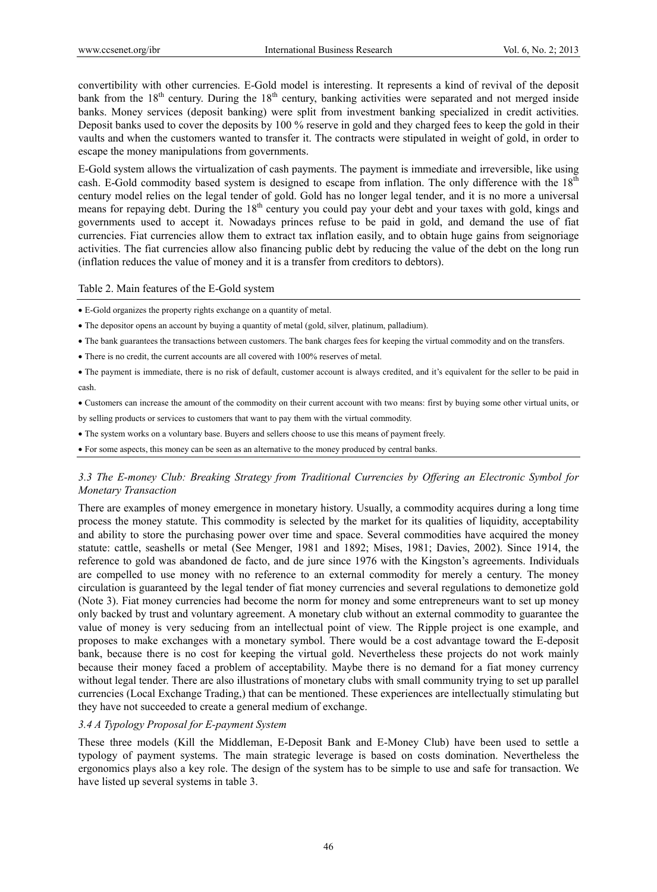convertibility with other currencies. E-Gold model is interesting. It represents a kind of revival of the deposit bank from the  $18<sup>th</sup>$  century. During the  $18<sup>th</sup>$  century, banking activities were separated and not merged inside banks. Money services (deposit banking) were split from investment banking specialized in credit activities. Deposit banks used to cover the deposits by 100 % reserve in gold and they charged fees to keep the gold in their vaults and when the customers wanted to transfer it. The contracts were stipulated in weight of gold, in order to escape the money manipulations from governments.

E-Gold system allows the virtualization of cash payments. The payment is immediate and irreversible, like using cash. E-Gold commodity based system is designed to escape from inflation. The only difference with the  $18<sup>th</sup>$ century model relies on the legal tender of gold. Gold has no longer legal tender, and it is no more a universal means for repaying debt. During the  $18<sup>th</sup>$  century you could pay your debt and your taxes with gold, kings and governments used to accept it. Nowadays princes refuse to be paid in gold, and demand the use of fiat currencies. Fiat currencies allow them to extract tax inflation easily, and to obtain huge gains from seignoriage activities. The fiat currencies allow also financing public debt by reducing the value of the debt on the long run (inflation reduces the value of money and it is a transfer from creditors to debtors).

Table 2. Main features of the E-Gold system

E-Gold organizes the property rights exchange on a quantity of metal.

- The depositor opens an account by buying a quantity of metal (gold, silver, platinum, palladium).
- The bank guarantees the transactions between customers. The bank charges fees for keeping the virtual commodity and on the transfers.
- There is no credit, the current accounts are all covered with 100% reserves of metal.
- The payment is immediate, there is no risk of default, customer account is always credited, and it's equivalent for the seller to be paid in cash.

 Customers can increase the amount of the commodity on their current account with two means: first by buying some other virtual units, or by selling products or services to customers that want to pay them with the virtual commodity.

- The system works on a voluntary base. Buyers and sellers choose to use this means of payment freely.
- For some aspects, this money can be seen as an alternative to the money produced by central banks.

# *3.3 The E-money Club: Breaking Strategy from Traditional Currencies by Offering an Electronic Symbol for Monetary Transaction*

There are examples of money emergence in monetary history. Usually, a commodity acquires during a long time process the money statute. This commodity is selected by the market for its qualities of liquidity, acceptability and ability to store the purchasing power over time and space. Several commodities have acquired the money statute: cattle, seashells or metal (See Menger, 1981 and 1892; Mises, 1981; Davies, 2002). Since 1914, the reference to gold was abandoned de facto, and de jure since 1976 with the Kingston's agreements. Individuals are compelled to use money with no reference to an external commodity for merely a century. The money circulation is guaranteed by the legal tender of fiat money currencies and several regulations to demonetize gold (Note 3). Fiat money currencies had become the norm for money and some entrepreneurs want to set up money only backed by trust and voluntary agreement. A monetary club without an external commodity to guarantee the value of money is very seducing from an intellectual point of view. The Ripple project is one example, and proposes to make exchanges with a monetary symbol. There would be a cost advantage toward the E-deposit bank, because there is no cost for keeping the virtual gold. Nevertheless these projects do not work mainly because their money faced a problem of acceptability. Maybe there is no demand for a fiat money currency without legal tender. There are also illustrations of monetary clubs with small community trying to set up parallel currencies (Local Exchange Trading,) that can be mentioned. These experiences are intellectually stimulating but they have not succeeded to create a general medium of exchange.

## *3.4 A Typology Proposal for E-payment System*

These three models (Kill the Middleman, E-Deposit Bank and E-Money Club) have been used to settle a typology of payment systems. The main strategic leverage is based on costs domination. Nevertheless the ergonomics plays also a key role. The design of the system has to be simple to use and safe for transaction. We have listed up several systems in table 3.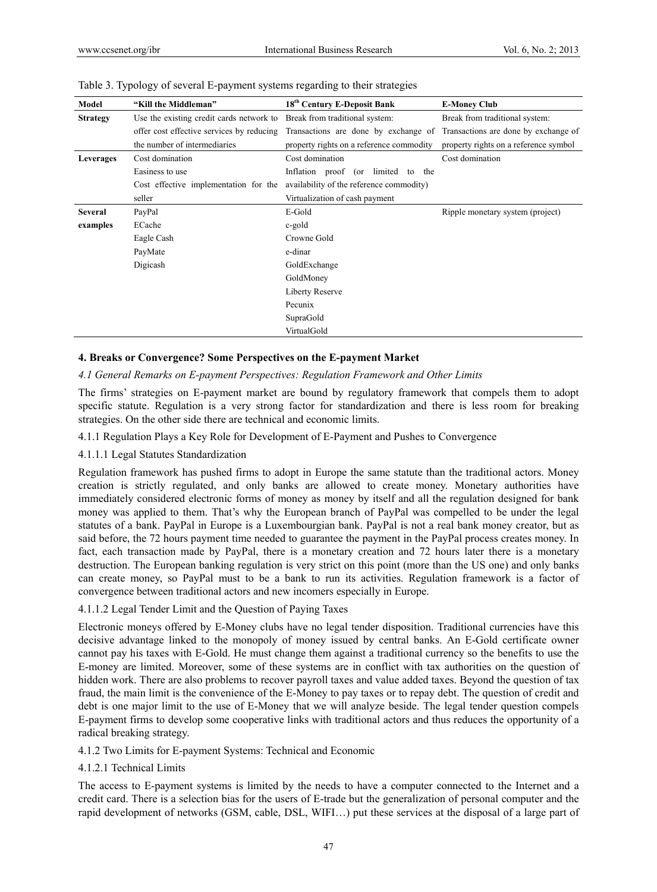| Model           | "Kill the Middleman"                      | 18 <sup>th</sup> Century E-Deposit Bank     | <b>E-Money Club</b>                   |
|-----------------|-------------------------------------------|---------------------------------------------|---------------------------------------|
| <b>Strategy</b> | Use the existing credit cards network to  | Break from traditional system:              | Break from traditional system:        |
|                 | offer cost effective services by reducing | Transactions are done by exchange of        | Transactions are done by exchange of  |
|                 | the number of intermediaries              | property rights on a reference commodity    | property rights on a reference symbol |
| Leverages       | Cost domination                           | Cost domination                             | Cost domination                       |
|                 | Easiness to use                           | Inflation proof (or<br>limited<br>the<br>to |                                       |
|                 | Cost effective implementation for the     | availability of the reference commodity)    |                                       |
|                 | seller                                    | Virtualization of cash payment              |                                       |
| <b>Several</b>  | PayPal                                    | E-Gold                                      | Ripple monetary system (project)      |
| examples        | ECache                                    | c-gold                                      |                                       |
|                 | Eagle Cash                                | Crowne Gold                                 |                                       |
|                 | PayMate                                   | e-dinar                                     |                                       |
|                 | Digicash                                  | GoldExchange                                |                                       |
|                 |                                           | GoldMoney                                   |                                       |
|                 |                                           | Liberty Reserve                             |                                       |
|                 |                                           | Pecunix                                     |                                       |
|                 |                                           | SupraGold                                   |                                       |
|                 |                                           | VirtualGold                                 |                                       |

#### Table 3. Typology of several E-payment systems regarding to their strategies

# **4. Breaks or Convergence? Some Perspectives on the E-payment Market**

## *4.1 General Remarks on E-payment Perspectives: Regulation Framework and Other Limits*

The firms' strategies on E-payment market are bound by regulatory framework that compels them to adopt specific statute. Regulation is a very strong factor for standardization and there is less room for breaking strategies. On the other side there are technical and economic limits.

4.1.1 Regulation Plays a Key Role for Development of E-Payment and Pushes to Convergence

## 4.1.1.1 Legal Statutes Standardization

Regulation framework has pushed firms to adopt in Europe the same statute than the traditional actors. Money creation is strictly regulated, and only banks are allowed to create money. Monetary authorities have immediately considered electronic forms of money as money by itself and all the regulation designed for bank money was applied to them. That's why the European branch of PayPal was compelled to be under the legal statutes of a bank. PayPal in Europe is a Luxembourgian bank. PayPal is not a real bank money creator, but as said before, the 72 hours payment time needed to guarantee the payment in the PayPal process creates money. In fact, each transaction made by PayPal, there is a monetary creation and 72 hours later there is a monetary destruction. The European banking regulation is very strict on this point (more than the US one) and only banks can create money, so PayPal must to be a bank to run its activities. Regulation framework is a factor of convergence between traditional actors and new incomers especially in Europe.

## 4.1.1.2 Legal Tender Limit and the Question of Paying Taxes

Electronic moneys offered by E-Money clubs have no legal tender disposition. Traditional currencies have this decisive advantage linked to the monopoly of money issued by central banks. An E-Gold certificate owner cannot pay his taxes with E-Gold. He must change them against a traditional currency so the benefits to use the E-money are limited. Moreover, some of these systems are in conflict with tax authorities on the question of hidden work. There are also problems to recover payroll taxes and value added taxes. Beyond the question of tax fraud, the main limit is the convenience of the E-Money to pay taxes or to repay debt. The question of credit and debt is one major limit to the use of E-Money that we will analyze beside. The legal tender question compels E-payment firms to develop some cooperative links with traditional actors and thus reduces the opportunity of a radical breaking strategy.

## 4.1.2 Two Limits for E-payment Systems: Technical and Economic

## 4.1.2.1 Technical Limits

The access to E-payment systems is limited by the needs to have a computer connected to the Internet and a credit card. There is a selection bias for the users of E-trade but the generalization of personal computer and the rapid development of networks (GSM, cable, DSL, WIFI…) put these services at the disposal of a large part of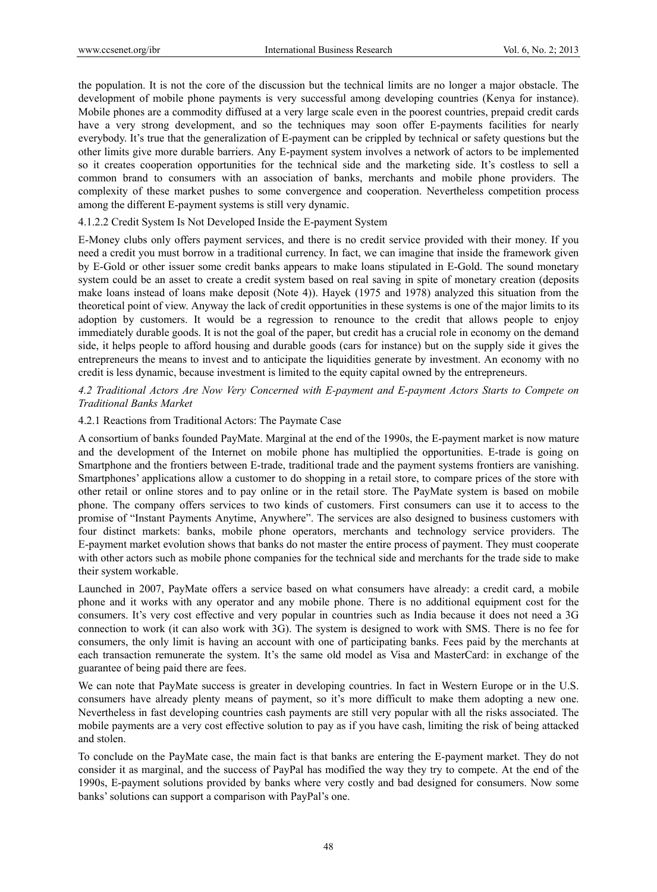the population. It is not the core of the discussion but the technical limits are no longer a major obstacle. The development of mobile phone payments is very successful among developing countries (Kenya for instance). Mobile phones are a commodity diffused at a very large scale even in the poorest countries, prepaid credit cards have a very strong development, and so the techniques may soon offer E-payments facilities for nearly everybody. It's true that the generalization of E-payment can be crippled by technical or safety questions but the other limits give more durable barriers. Any E-payment system involves a network of actors to be implemented so it creates cooperation opportunities for the technical side and the marketing side. It's costless to sell a common brand to consumers with an association of banks, merchants and mobile phone providers. The complexity of these market pushes to some convergence and cooperation. Nevertheless competition process among the different E-payment systems is still very dynamic.

## 4.1.2.2 Credit System Is Not Developed Inside the E-payment System

E-Money clubs only offers payment services, and there is no credit service provided with their money. If you need a credit you must borrow in a traditional currency. In fact, we can imagine that inside the framework given by E-Gold or other issuer some credit banks appears to make loans stipulated in E-Gold. The sound monetary system could be an asset to create a credit system based on real saving in spite of monetary creation (deposits make loans instead of loans make deposit (Note 4)). Hayek (1975 and 1978) analyzed this situation from the theoretical point of view. Anyway the lack of credit opportunities in these systems is one of the major limits to its adoption by customers. It would be a regression to renounce to the credit that allows people to enjoy immediately durable goods. It is not the goal of the paper, but credit has a crucial role in economy on the demand side, it helps people to afford housing and durable goods (cars for instance) but on the supply side it gives the entrepreneurs the means to invest and to anticipate the liquidities generate by investment. An economy with no credit is less dynamic, because investment is limited to the equity capital owned by the entrepreneurs.

## *4.2 Traditional Actors Are Now Very Concerned with E-payment and E-payment Actors Starts to Compete on Traditional Banks Market*

## 4.2.1 Reactions from Traditional Actors: The Paymate Case

A consortium of banks founded PayMate. Marginal at the end of the 1990s, the E-payment market is now mature and the development of the Internet on mobile phone has multiplied the opportunities. E-trade is going on Smartphone and the frontiers between E-trade, traditional trade and the payment systems frontiers are vanishing. Smartphones' applications allow a customer to do shopping in a retail store, to compare prices of the store with other retail or online stores and to pay online or in the retail store. The PayMate system is based on mobile phone. The company offers services to two kinds of customers. First consumers can use it to access to the promise of "Instant Payments Anytime, Anywhere". The services are also designed to business customers with four distinct markets: banks, mobile phone operators, merchants and technology service providers. The E-payment market evolution shows that banks do not master the entire process of payment. They must cooperate with other actors such as mobile phone companies for the technical side and merchants for the trade side to make their system workable.

Launched in 2007, PayMate offers a service based on what consumers have already: a credit card, a mobile phone and it works with any operator and any mobile phone. There is no additional equipment cost for the consumers. It's very cost effective and very popular in countries such as India because it does not need a 3G connection to work (it can also work with 3G). The system is designed to work with SMS. There is no fee for consumers, the only limit is having an account with one of participating banks. Fees paid by the merchants at each transaction remunerate the system. It's the same old model as Visa and MasterCard: in exchange of the guarantee of being paid there are fees.

We can note that PayMate success is greater in developing countries. In fact in Western Europe or in the U.S. consumers have already plenty means of payment, so it's more difficult to make them adopting a new one. Nevertheless in fast developing countries cash payments are still very popular with all the risks associated. The mobile payments are a very cost effective solution to pay as if you have cash, limiting the risk of being attacked and stolen.

To conclude on the PayMate case, the main fact is that banks are entering the E-payment market. They do not consider it as marginal, and the success of PayPal has modified the way they try to compete. At the end of the 1990s, E-payment solutions provided by banks where very costly and bad designed for consumers. Now some banks' solutions can support a comparison with PayPal's one.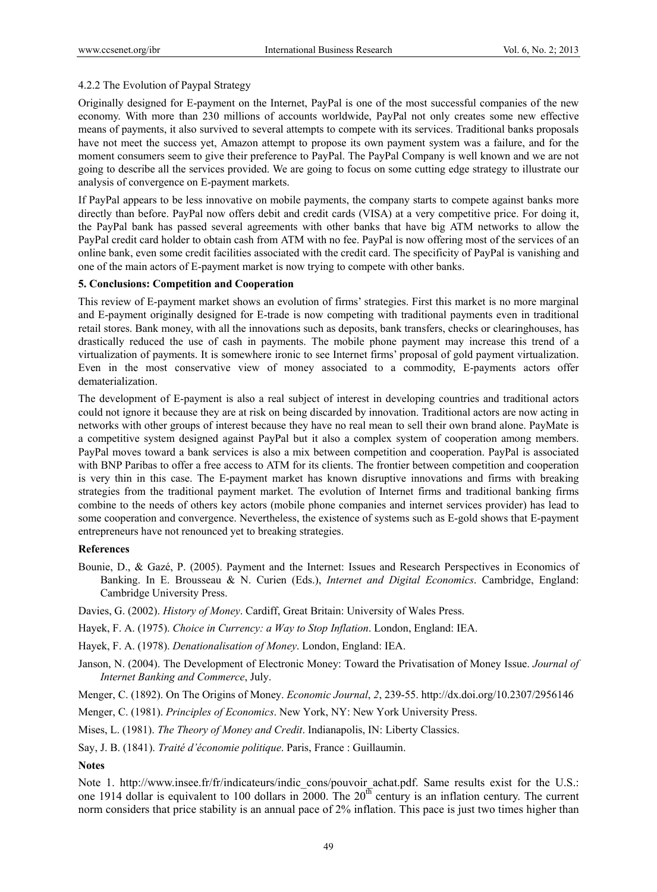# 4.2.2 The Evolution of Paypal Strategy

Originally designed for E-payment on the Internet, PayPal is one of the most successful companies of the new economy. With more than 230 millions of accounts worldwide, PayPal not only creates some new effective means of payments, it also survived to several attempts to compete with its services. Traditional banks proposals have not meet the success yet, Amazon attempt to propose its own payment system was a failure, and for the moment consumers seem to give their preference to PayPal. The PayPal Company is well known and we are not going to describe all the services provided. We are going to focus on some cutting edge strategy to illustrate our analysis of convergence on E-payment markets.

If PayPal appears to be less innovative on mobile payments, the company starts to compete against banks more directly than before. PayPal now offers debit and credit cards (VISA) at a very competitive price. For doing it, the PayPal bank has passed several agreements with other banks that have big ATM networks to allow the PayPal credit card holder to obtain cash from ATM with no fee. PayPal is now offering most of the services of an online bank, even some credit facilities associated with the credit card. The specificity of PayPal is vanishing and one of the main actors of E-payment market is now trying to compete with other banks.

## **5. Conclusions: Competition and Cooperation**

This review of E-payment market shows an evolution of firms' strategies. First this market is no more marginal and E-payment originally designed for E-trade is now competing with traditional payments even in traditional retail stores. Bank money, with all the innovations such as deposits, bank transfers, checks or clearinghouses, has drastically reduced the use of cash in payments. The mobile phone payment may increase this trend of a virtualization of payments. It is somewhere ironic to see Internet firms' proposal of gold payment virtualization. Even in the most conservative view of money associated to a commodity, E-payments actors offer dematerialization.

The development of E-payment is also a real subject of interest in developing countries and traditional actors could not ignore it because they are at risk on being discarded by innovation. Traditional actors are now acting in networks with other groups of interest because they have no real mean to sell their own brand alone. PayMate is a competitive system designed against PayPal but it also a complex system of cooperation among members. PayPal moves toward a bank services is also a mix between competition and cooperation. PayPal is associated with BNP Paribas to offer a free access to ATM for its clients. The frontier between competition and cooperation is very thin in this case. The E-payment market has known disruptive innovations and firms with breaking strategies from the traditional payment market. The evolution of Internet firms and traditional banking firms combine to the needs of others key actors (mobile phone companies and internet services provider) has lead to some cooperation and convergence. Nevertheless, the existence of systems such as E-gold shows that E-payment entrepreneurs have not renounced yet to breaking strategies.

## **References**

- Bounie, D., & Gazé, P. (2005). Payment and the Internet: Issues and Research Perspectives in Economics of Banking. In E. Brousseau & N. Curien (Eds.), *Internet and Digital Economics*. Cambridge, England: Cambridge University Press.
- Davies, G. (2002). *History of Money*. Cardiff, Great Britain: University of Wales Press.
- Hayek, F. A. (1975). *Choice in Currency: a Way to Stop Inflation*. London, England: IEA.
- Hayek, F. A. (1978). *Denationalisation of Money*. London, England: IEA.
- Janson, N. (2004). The Development of Electronic Money: Toward the Privatisation of Money Issue. *Journal of Internet Banking and Commerce*, July.

Menger, C. (1892). On The Origins of Money. *Economic Journal*, *2*, 239-55. http://dx.doi.org/10.2307/2956146

- Menger, C. (1981). *Principles of Economics*. New York, NY: New York University Press.
- Mises, L. (1981). *The Theory of Money and Credit*. Indianapolis, IN: Liberty Classics.
- Say, J. B. (1841). *Traité d'économie politique*. Paris, France : Guillaumin.

## **Notes**

Note 1. http://www.insee.fr/fr/indicateurs/indic\_cons/pouvoir\_achat.pdf. Same results exist for the U.S.: one 1914 dollar is equivalent to 100 dollars in  $\overline{2000}$ . The  $20^{1/2}$  century is an inflation century. The current norm considers that price stability is an annual pace of 2% inflation. This pace is just two times higher than